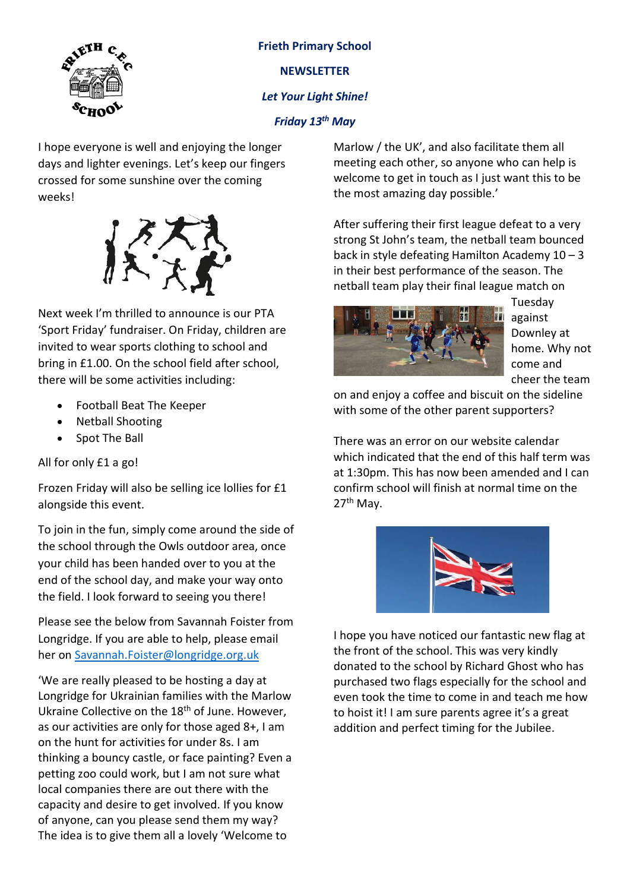

Frieth Primary School **NEWSLETTER** Let Your Light Shine! Friday 13<sup>th</sup> May

I hope everyone is well and enjoying the longer days and lighter evenings. Let's keep our fingers crossed for some sunshine over the coming weeks!



Next week I'm thrilled to announce is our PTA 'Sport Friday' fundraiser. On Friday, children are invited to wear sports clothing to school and bring in £1.00. On the school field after school, there will be some activities including:

- Football Beat The Keeper
- Netball Shooting
- Spot The Ball

All for only £1 a go!

Frozen Friday will also be selling ice lollies for £1 alongside this event.

To join in the fun, simply come around the side of the school through the Owls outdoor area, once your child has been handed over to you at the end of the school day, and make your way onto the field. I look forward to seeing you there!

Please see the below from Savannah Foister from Longridge. If you are able to help, please email her on Savannah.Foister@longridge.org.uk

'We are really pleased to be hosting a day at Longridge for Ukrainian families with the Marlow Ukraine Collective on the 18<sup>th</sup> of June. However, as our activities are only for those aged 8+, I am on the hunt for activities for under 8s. I am thinking a bouncy castle, or face painting? Even a petting zoo could work, but I am not sure what local companies there are out there with the capacity and desire to get involved. If you know of anyone, can you please send them my way? The idea is to give them all a lovely 'Welcome to

Marlow / the UK', and also facilitate them all meeting each other, so anyone who can help is welcome to get in touch as I just want this to be the most amazing day possible.'

After suffering their first league defeat to a very strong St John's team, the netball team bounced back in style defeating Hamilton Academy  $10 - 3$ in their best performance of the season. The netball team play their final league match on



Tuesday against Downley at home. Why not come and cheer the team

on and enjoy a coffee and biscuit on the sideline with some of the other parent supporters?

There was an error on our website calendar which indicated that the end of this half term was at 1:30pm. This has now been amended and I can confirm school will finish at normal time on the 27th May.



I hope you have noticed our fantastic new flag at the front of the school. This was very kindly donated to the school by Richard Ghost who has purchased two flags especially for the school and even took the time to come in and teach me how to hoist it! I am sure parents agree it's a great addition and perfect timing for the Jubilee.